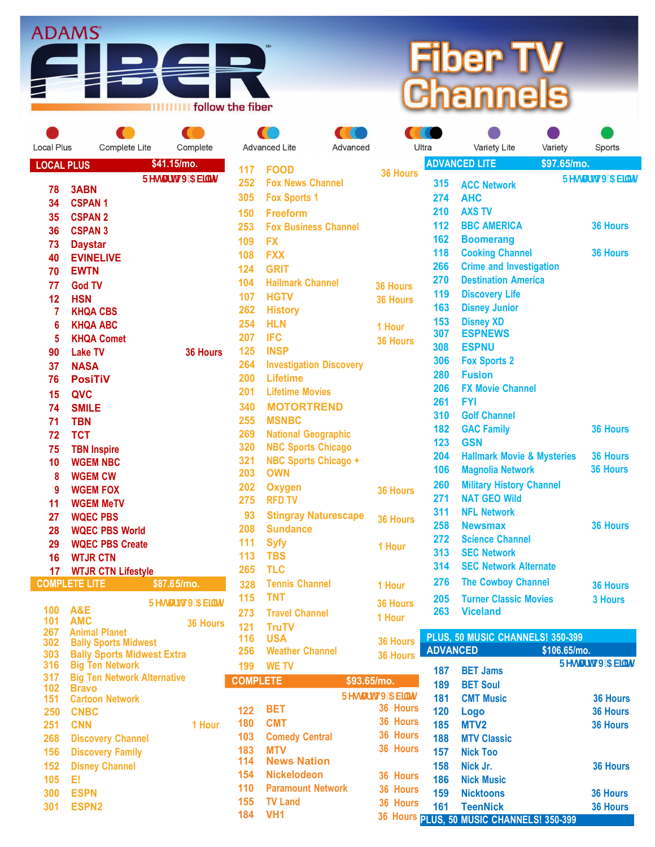

## **Fiber TV Channels**

| <b>Local Plus</b> | Complete Lite                      | Complete          |
|-------------------|------------------------------------|-------------------|
| <b>LOCAL PLUS</b> |                                    | \$41.15/mo.       |
|                   |                                    | FYgHJfhHJ'5VJ`Jhm |
| 78                | 3ABN                               |                   |
| 34                | <b>CSPAN1</b>                      |                   |
| 35                | <b>CSPAN 2</b>                     |                   |
| 36                | <b>CSPAN 3</b>                     |                   |
| 73                | <b>Daystar</b>                     |                   |
| 40                | <b>EVINELIVE</b>                   |                   |
| 70                | <b>EWTN</b>                        |                   |
| 77                | <b>God TV</b>                      |                   |
| 12                | <b>HSN</b>                         |                   |
| 7                 | KHQA CBS                           |                   |
| 6                 | <b>KHQA ABC</b>                    |                   |
| 5                 | <b>KHQA Comet</b>                  |                   |
| 90                | <b>Lake TV</b>                     | <b>36 Hours</b>   |
| 37                | <b>NASA</b>                        |                   |
| 76                | PosiTiV                            |                   |
| 15                | QVC                                |                   |
| 74                | <b>SMILE</b>                       |                   |
| 71                | TBN                                |                   |
| 72                | TCT                                |                   |
| 75                | <b>TBN Inspire</b>                 |                   |
| 10                | <b>WGEM NBC</b>                    |                   |
| 8                 | <b>WGEM CW</b>                     |                   |
| 9                 | <b>WGEM FOX</b>                    |                   |
| 11                | <b>WGEM MeTV</b>                   |                   |
| 27                | <b>WQEC PBS</b>                    |                   |
| 28                | <b>WQEC PBS World</b>              |                   |
| 29                | <b>WQEC PBS Create</b>             |                   |
| 16                | <b>WTJR CTN</b>                    |                   |
| 17                | <b>WTJR CTN Lifestyle</b>          |                   |
|                   | <b>COMPLETE LITE</b>               | \$87.65/mo.       |
|                   |                                    | FYglUfhHJ 5VJ]m   |
| 100               | A&E                                |                   |
| 101<br>267        | <b>AMC</b><br>Animal Planet        | <b>36 Hours</b>   |
| 302               | <b>Bally Sports Midwest</b>        |                   |
| 303               | <b>Bally Sports Midwest Extra</b>  |                   |
| 316               | <b>Big Ten Network</b>             |                   |
| 317               | <b>Big Ten Network Alternative</b> |                   |

| 31b | <b>BIG THE NETWORK</b>             |        |  |
|-----|------------------------------------|--------|--|
| 317 | <b>Big Ten Network Alternative</b> |        |  |
| 102 | <b>Bravo</b>                       |        |  |
| 151 | <b>Cartoon Network</b>             |        |  |
| 250 | <b>CNBC</b>                        |        |  |
| 251 | <b>CNN</b>                         | 1 Hour |  |
| 268 | <b>Discovery Channel</b>           |        |  |
| 156 | <b>Discovery Family</b>            |        |  |
| 152 | <b>Disney Channel</b>              |        |  |
| 105 | El                                 |        |  |
| 300 | <b>ESPN</b>                        |        |  |
| 301 | <b>ESPN2</b>                       |        |  |

|                | <b>COL</b><br><b>ACCEPTED</b>    | <b>A</b> CONT        |
|----------------|----------------------------------|----------------------|
|                | <b>Advanced Lite</b><br>Advanced | Ultra                |
| 117            | <b>FOOD</b>                      | A<br><b>36 Hours</b> |
| 252            | <b>Fox News Channel</b>          |                      |
| 305            | <b>Fox Sports 1</b>              |                      |
| 150            | <b>Freeform</b>                  |                      |
| 253            | <b>Fox Business Channel</b>      |                      |
| 109            | <b>FX</b>                        |                      |
| 108            | <b>FXX</b>                       |                      |
| 124            | <b>GRIT</b>                      |                      |
| 104            | <b>Hallmark Channel</b>          | <b>36 Hours</b>      |
| 107            | <b>HGTV</b>                      | <b>36 Hours</b>      |
| 262            | <b>History</b>                   |                      |
| 254            | <b>HLN</b>                       | 1 Hour               |
| 207            | <b>IFC</b>                       | <b>36 Hours</b>      |
| 125            | <b>INSP</b>                      |                      |
| 264            | <b>Investigation Discovery</b>   |                      |
| 200            | <b>Lifetime</b>                  |                      |
| 201            | <b>Lifetime Movies</b>           |                      |
| 340            | <b>MOTORTREND</b>                |                      |
| 255            | <b>MSNBC</b>                     |                      |
| 269            | <b>National Geographic</b>       |                      |
| 320            | <b>NBC Sports Chicago</b>        |                      |
| 321            | <b>NBC Sports Chicago +</b>      |                      |
| 203            | <b>OWN</b>                       |                      |
| 202            | <b>Oxygen</b>                    | <b>36 Hours</b>      |
| 275            | <b>RFD TV</b>                    |                      |
| 93             | <b>Stingray Naturescape</b>      | <b>36 Hours</b>      |
| 208            | <b>Sundance</b>                  |                      |
| 111            | <b>Syfy</b><br><b>TBS</b>        | 1 Hour               |
| 113<br>265     | <b>TLC</b>                       |                      |
| 328            | <b>Tennis Channel</b>            |                      |
| 115            | TNT                              | 1 Hour               |
| 273            | <b>Travel Channel</b>            | <b>36 Hours</b>      |
| 121            |                                  | 1 Hour               |
| 116            | <b>TruTV</b><br><b>USA</b>       | F                    |
| 256            | <b>Weather Channel</b>           | <b>36 Hours</b><br>Á |
| 199            | <b>WE TV</b>                     | 36 Hours             |
| <b>OMPLETE</b> |                                  | \$93.65/mo.          |

 $\sqrt{1}$ 

| <b>COMPLETE</b> |                          | \$93.65/mo.        |
|-----------------|--------------------------|--------------------|
|                 |                          | FYgHJfhHJ '5 VJ'Jh |
| 122             | <b>BET</b>               | 36 Hour            |
| 180             | <b>CMT</b>               | 36 Hour            |
| 103             | <b>Comedy Central</b>    | 36 Hour            |
| 183             | <b>MTV</b>               | 36 Hour            |
| 114             | <b>News Nation</b>       |                    |
| 154             | <b>Nickelodeon</b>       | 36 Hour            |
| 110             | <b>Paramount Network</b> | 36 Hour            |
| 155             | <b>TV Land</b>           | 36 Hour            |
| 184             | VH <sub>1</sub>          | 36 Hours           |
|                 |                          |                    |

| ra         | Variety Lite                                    | Variety     | Sports            |
|------------|-------------------------------------------------|-------------|-------------------|
|            | <b>ADVANCED LITE</b>                            | \$97.65/mo. |                   |
| 315        | <b>ACC Network</b>                              |             | FYgHJfhHJ'5 VJ`]m |
| 274        | AHC                                             |             |                   |
| 210        | <b>AXS TV</b>                                   |             |                   |
| 112        | <b>BBC AMERICA</b>                              |             | <b>36 Hours</b>   |
| 162        | <b>Boomerang</b>                                |             |                   |
| 118        | <b>Cooking Channel</b>                          |             | <b>36 Hours</b>   |
| 266        | <b>Crime and Investigation</b>                  |             |                   |
| 270        | <b>Destination America</b>                      |             |                   |
| 119        | <b>Discovery Life</b>                           |             |                   |
| 163        | <b>Disney Junior</b>                            |             |                   |
| 153        | <b>Disney XD</b>                                |             |                   |
| 307        | <b>ESPNEWS</b>                                  |             |                   |
| 308        | <b>ESPNU</b>                                    |             |                   |
| 306        | <b>Fox Sports 2</b>                             |             |                   |
| 280        | <b>Fusion</b>                                   |             |                   |
| 206        | <b>FX Movie Channel</b>                         |             |                   |
| 261        | <b>FYI</b>                                      |             |                   |
| 310        | <b>Golf Channel</b>                             |             |                   |
| 182        | <b>GAC Family</b>                               |             | <b>36 Hours</b>   |
| 123        | GSN                                             |             |                   |
| 204        | <b>Hallmark Movie &amp; Mysteries</b>           |             | <b>36 Hours</b>   |
| 106        | <b>Magnolia Network</b>                         |             | <b>36 Hours</b>   |
| 260        | <b>Military History Channel</b>                 |             |                   |
| 271        | <b>NAT GEO Wild</b>                             |             |                   |
| 311        | <b>NFL Network</b>                              |             |                   |
| 258        | <b>Newsmax</b>                                  |             | <b>36 Hours</b>   |
| 272        | <b>Science Channel</b>                          |             |                   |
| 313        | <b>SEC Network</b>                              |             |                   |
| 314        | <b>SEC Network Alternate</b>                    |             |                   |
| 276        | <b>The Cowboy Channel</b>                       |             | <b>36 Hours</b>   |
| 205<br>263 | <b>Turner Classic Movies</b><br><b>Viceland</b> |             | <b>3 Hours</b>    |

| Ś  |                 | PLUS, 50 MUSIC CHANNELS! 350-399 |                                  |
|----|-----------------|----------------------------------|----------------------------------|
| Ś  | <b>ADVANCED</b> |                                  | \$106.65/mo.                     |
|    | 187             | <b>BET Jams</b>                  | FYghJfhHJ 5 VJ ]hm               |
|    | 189             | <b>BET Soul</b>                  |                                  |
| hm | 181             | <b>CMT Music</b>                 | <b>36 Hours</b>                  |
| rs | 120             | Logo                             | <b>36 Hours</b>                  |
| rs | 185             | MTV <sub>2</sub>                 | <b>36 Hours</b>                  |
| rs | 188             | <b>MTV Classic</b>               |                                  |
| rs | 157             | <b>Nick Too</b>                  |                                  |
|    | 158             | Nick Jr.                         | <b>36 Hours</b>                  |
| rs | 186             | <b>Nick Music</b>                |                                  |
| rs | 159             | <b>Nicktoons</b>                 | <b>36 Hours</b>                  |
| rs | 161             | <b>TeenNick</b>                  | <b>36 Hours</b>                  |
| rs |                 |                                  | PLUS, 50 MUSIC CHANNELS! 350-399 |
|    |                 |                                  |                                  |